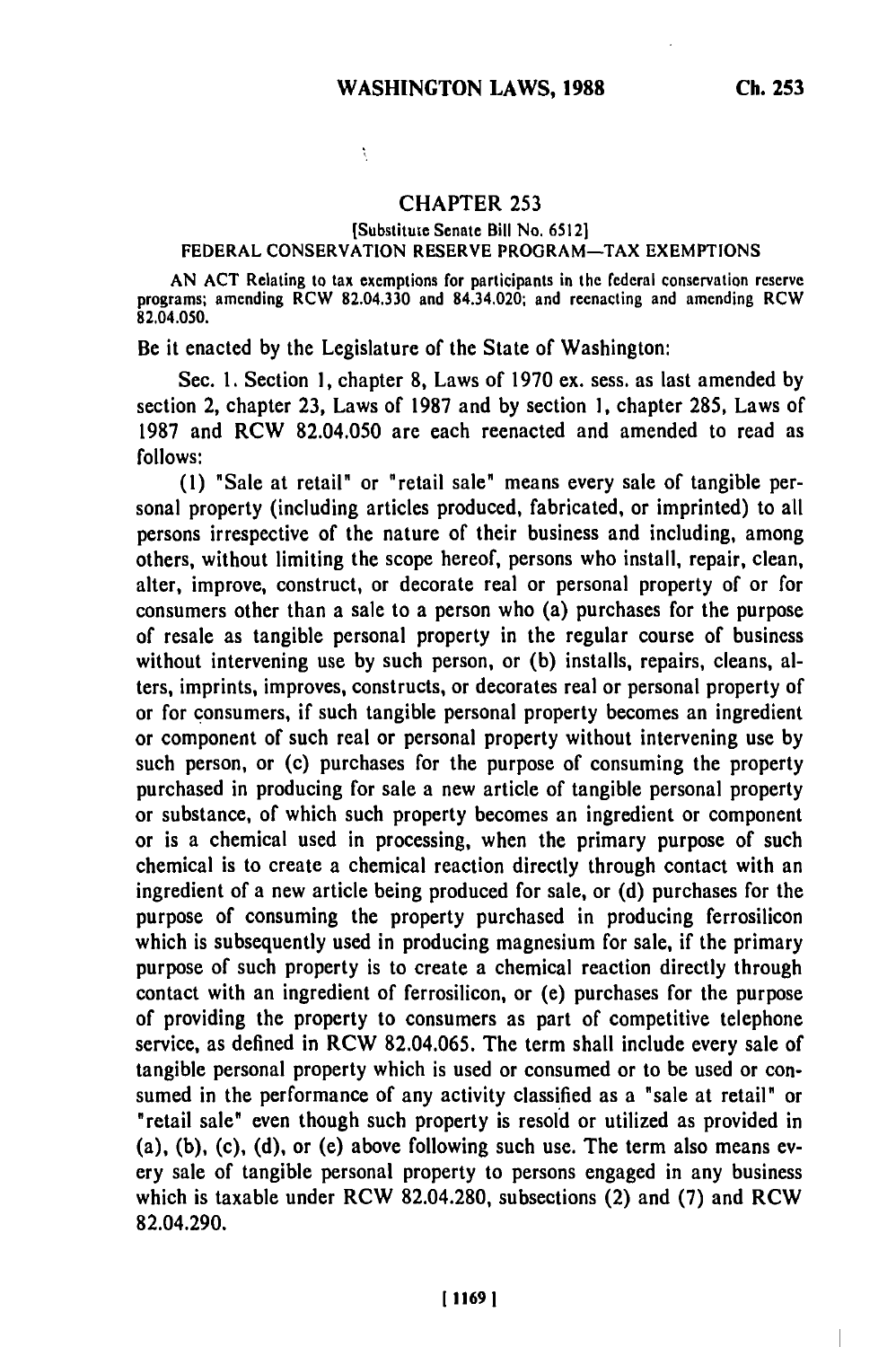## **CHAPTER** 253

## [Substitute Senate Bill No. **65121** FEDERAL **CONSERVATION** RESERVE PROGRAM-TAX **EXEMPTIONS**

**AN ACT** Relating to tax exemptions for participants in the federal conservation reserve programs; amending RCW **82.04.330** and 84.34.020; and reenacting and amending RCW 82.04.050.

Be it enacted **by** the Legislature of the State of Washington:

Ň,

Sec. **1.** Section **1,** chapter **8,** Laws of **1970** ex. sess. as last amended **by** section 2, chapter **23,** Laws of **1987** and **by** section **1,** chapter **285,** Laws of **1987** and RCW 82.04.050 are each reenacted and amended to read as **follows:**

**(1)** "Sale at retail" or "retail sale" means every sale of tangible personal property (including articles produced, fabricated, or imprinted) to all persons irrespective of the nature of their business and including, among others, without limiting the scope hereof, persons who install, repair, clean, alter, improve, construct, or decorate real or personal property of or for consumers other than a sale to a person who (a) purchases for the purpose of resale as tangible personal property in the regular course of business without intervening use **by** such person, or **(b)** installs, repairs, cleans, alters, imprints, improves, constructs, or decorates real or personal property of or for consumers, if such tangible personal property becomes an ingredient or component of such real or personal property without intervening use **by** such person, or (c) purchases for the purpose of consuming the property purchased in producing for sale a new article of tangible personal property or substance, of which such property becomes an ingredient or component or is a chemical used in processing, when the primary purpose of such chemical is to create a chemical reaction directly through contact with an ingredient of a new article being produced for sale, or **(d)** purchases for the purpose of consuming the property purchased in producing ferrosilicon which is subsequently used in producing magnesium for sale, if the primary purpose of such property is to create a chemical reaction directly through contact with an ingredient of ferrosilicon, or (e) purchases for the purpose of providing the property to consumers as part of competitive telephone service, as defined in RCW **82.04.065.** The term shall include every sale of tangible personal property which is used or consumed or to be used or consumed in the performance of any activity classified as a "sale at retail" or "retail sale' even though such property is resold or utilized as provided in (a), **(b),** (c), **(d),** or (e) above following such use. The term also means every sale of tangible personal property to persons engaged in any business which is taxable under RCW **82.04.280,** subsections (2) and **(7)** and RCW 82.04.290.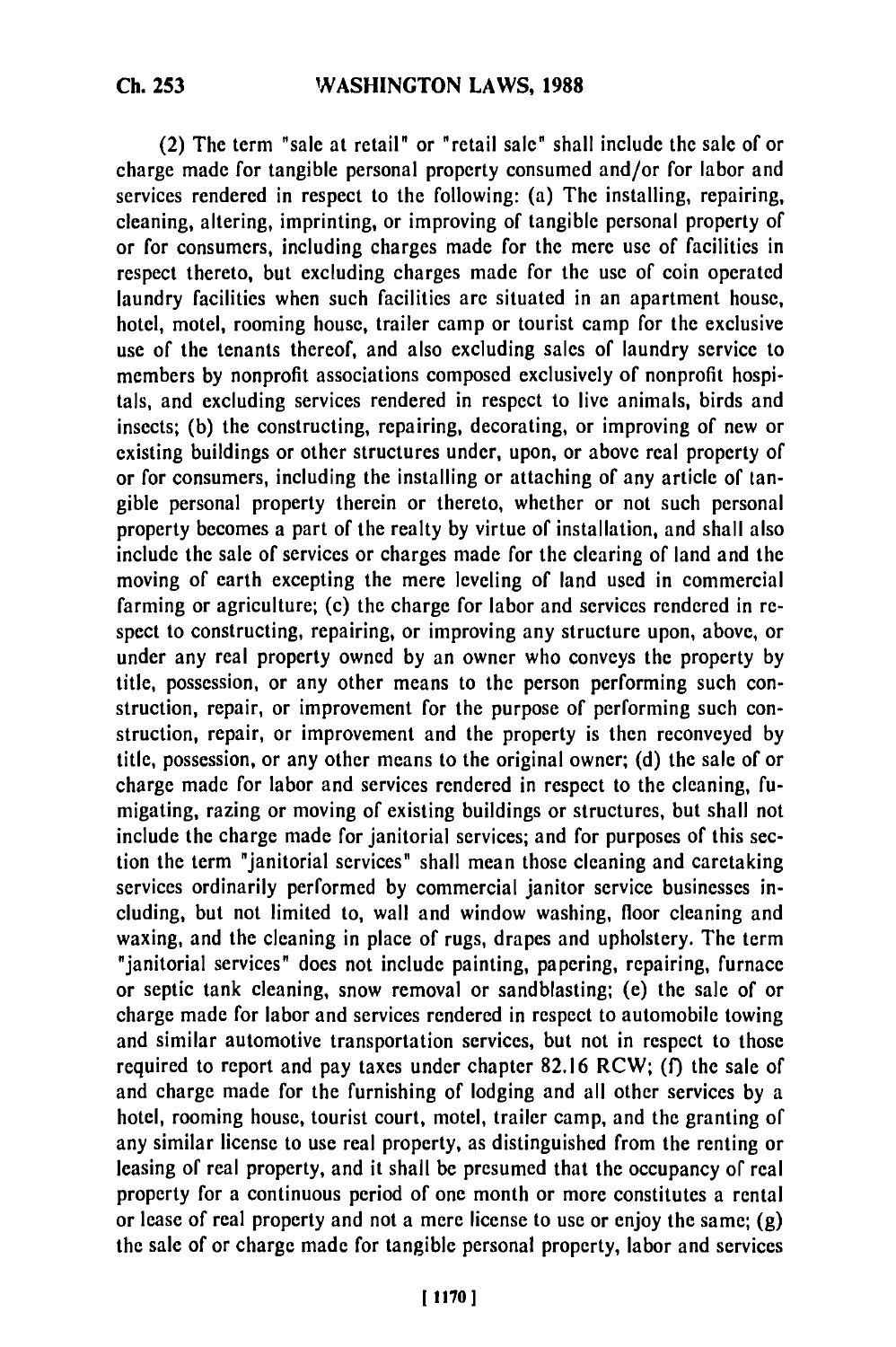(2) The term "sale at retail" or "retail sale" shall include the sale of or charge made for tangible personal property consumed and/or for labor and services rendered in respect to the following: (a) The installing, repairing, cleaning, altering, imprinting, or improving of tangible personal property of or for consumers, including charges made for the mere use of facilities in respect thereto, but excluding charges made for the use of coin operated laundry facilities when such facilities are situated in an apartment house, hotel, motel, rooming house, trailer camp or tourist camp for the exclusive use of the tenants thereof, and also excluding sales of laundry service to members **by** nonprofit associations composed exclusively of nonprofit hospitals, and excluding services rendered in respect to live animals, birds and insects; **(b)** the constructing, repairing, decorating, or improving of new or existing buildings or other structures under, upon, or above real property of or for consumers, including the installing or attaching of any article of tangible personal property therein or thereto, whether or not such personal property becomes a part of the realty **by** virtue of installation, and shall also include the sale of services or charges made for the clearing of land and the moving of earth excepting the mere leveling of land used in commercial farming or agriculture; (c) the charge for labor and services rendered in respect to constructing, repairing, or improving any structure upon, above, or under any real property owned **by** an owner who conveys the property **by** title, possession, or any other means to the person performing such construction, repair, or improvement for the purpose of performing such construction, repair, or improvement and the property is then reconveyed **by** title, possession, or any other means to the original owner; **(d)** the sale of or charge made for labor and services rendered in respect to the cleaning, fumigating, razing or moving of existing buildings or structures, but shall not include the charge made for janitorial services; and for purposes of this section the term "janitorial services" shall mean those cleaning and carctaking services ordinarily performed **by** commercial janitor service businesses including, but not limited to, wall and window washing, floor cleaning and waxing, and the cleaning in place of rugs, drapes and upholstery. The term "janitorial services" does not include painting, papering, repairing, furnace or septic tank cleaning, snow removal or sandblasting; (e) the sale of or charge made for labor and services rendered in respect to automobile towing and similar automotive transportation services, but not in respect to those required to report and pay taxes under chapter **82.16** RCW; **(f)** the sale of and charge made for the furnishing of lodging and all other services **by** a hotel, rooming house, tourist court, motel, trailer camp, and the granting of any similar license to use real property, as distinguished from the renting or leasing of real property, and it shall be presumed that the occupancy of real property for a continuous period of one month or more constitutes a rental or lease of real property and not a mere license to use or enjoy the same; **(g)** the sale of or charge made for tangible personal property, labor and services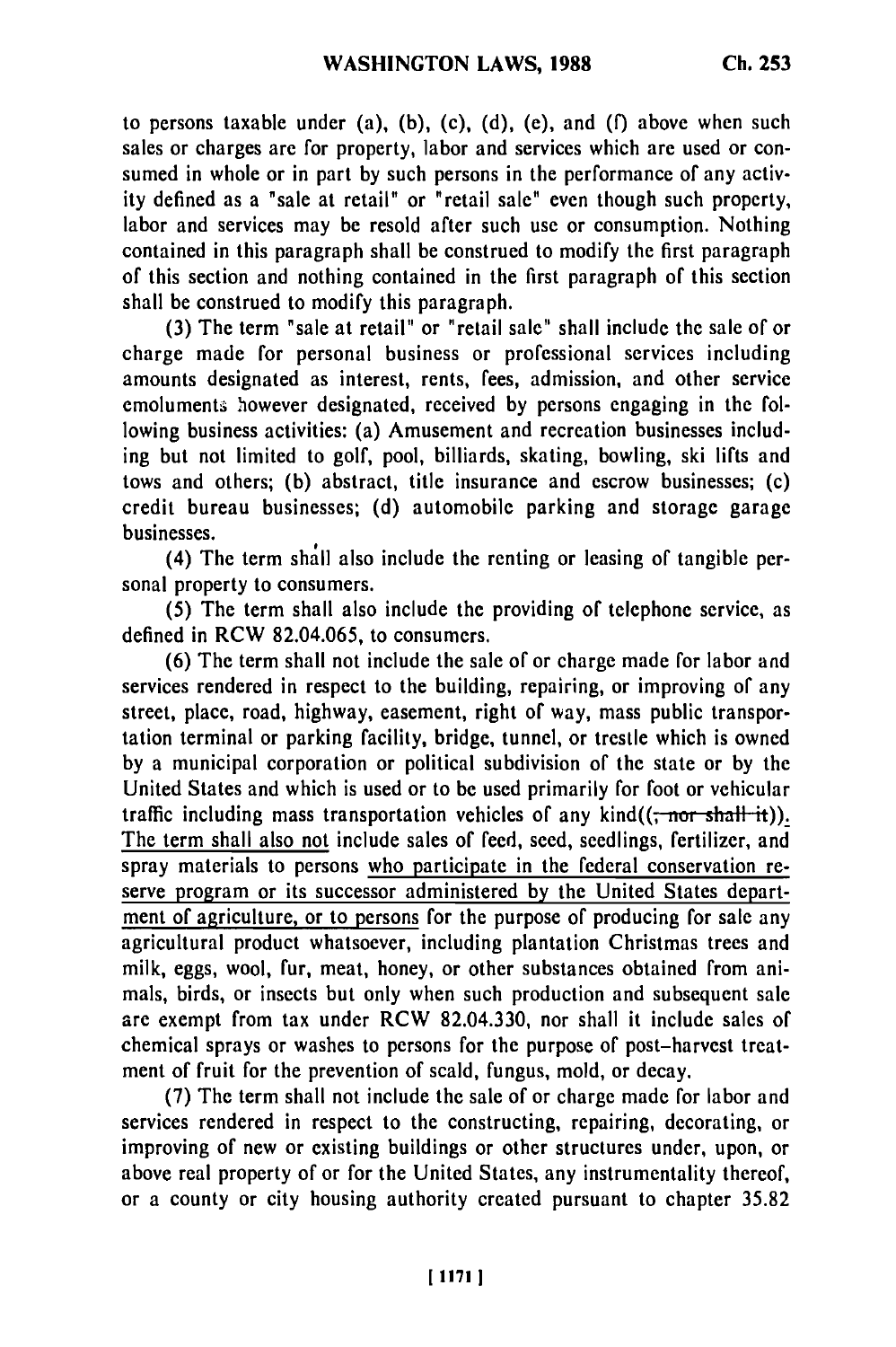to persons taxable under (a), (b), (c), (d), (e), and (f) above when such sales or charges are for property, labor and services which are used or consumed in whole or in part by such persons in the performance of any activity defined as a "sale at retail" or "retail sale" even though such property, labor and services may be resold after such use or consumption. Nothing contained in this paragraph shall be construed to modify the first paragraph of this section and nothing contained in the first paragraph of this section shall be construed to modify this paragraph.

**(3)** The term "sale at retail" or "retail sale" shall include the sale of or charge made for personal business or professional services including amounts designated as interest, rents, fees, admission, and other service emoluments however designated, received by persons engaging in the following business activities: (a) Amusement and recreation businesses including but not limited to golf, pool, billiards, skating, bowling, ski lifts and tows and others; **(b)** abstract, title insurance and escrow businesses; (c) credit bureau businesses; **(d)** automobile parking and storage garage businesses.

(4) The term shall also include the renting or leasing of tangible personal property to consumers.

(5) The term shall also include the providing of telephone service, as defined in RCW 82.04.065, to consumers.

(6) The term shall not include the sale of or charge made for labor and services rendered in respect to the building, repairing, or improving of any street, place, road, highway, easement, right of way, mass public transportation terminal or parking facility, bridge, tunnel, or trestle which is owned by a municipal corporation or political subdivision of the state or by the United States and which is used or to be used primarily for foot or vehicular traffic including mass transportation vehicles of any  $\text{kind}((\tau \cdot \text{nor } \text{shall } \cdot \text{it}))$ . The term shall also not include sales of feed, seed, seedlings, fertilizer, and spray materials to persons who participate in the federal conservation reserve program or its successor administered **by** the United States department of agriculture, or to persons for the purpose of producing for sale any agricultural product whatsoever, including plantation Christmas trees and milk, eggs, wool, fur, meat, honey, or other substances obtained from animals, birds, or insects but only when such production and subsequent sale are exempt from tax under RCW **82.04.330,** nor shall it include sales of chemical sprays or washes to persons for the purpose of post-harvest treatment of fruit for the prevention of scald, fungus, mold, or decay.

**(7)** The term shall not include the sale of or charge made for labor and services rendered in respect to the constructing, repairing, decorating, or improving of new or existing buildings or other structures under, upon, or above real property of or for the United States, any instrumentality thereof, or a county or city housing authority created pursuant to chapter **35.82**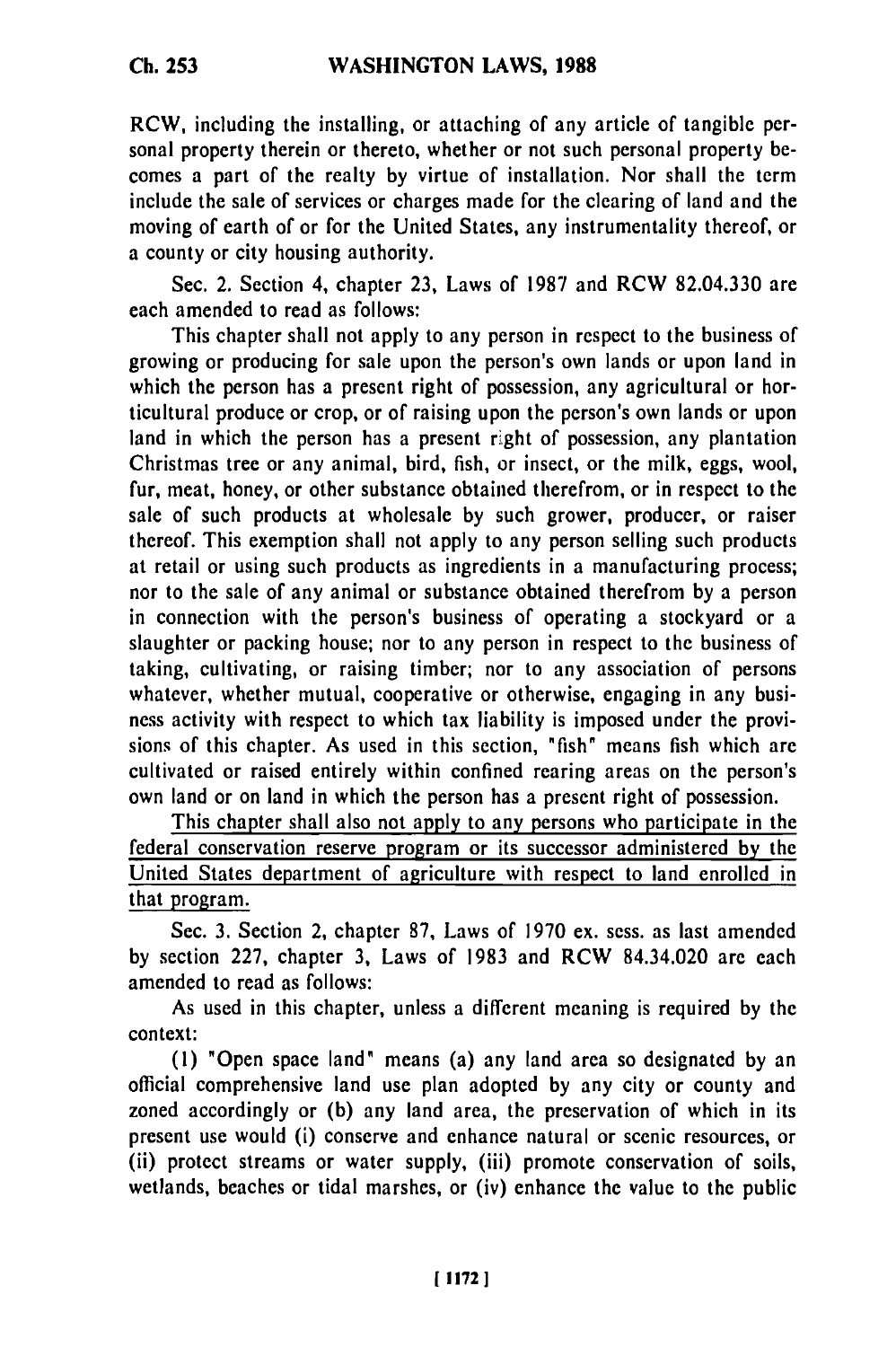RCW, including the installing, or attaching of any article of tangible personal property therein or thereto, whether or not such personal property becomes a part of the realty **by** virtue of installation. Nor shall the term include the sale of services or charges made for the clearing of land and the moving of earth of or for the United States, any instrumentality thereof, or a county or city housing authority.

Sec. 2. Section 4, chapter **23,** Laws of **1987** and RCW **82.04.330** are each amended to read as follows:

This chapter shall not apply to any person in respect to the business of growing or producing for sale upon the person's own lands or upon land in which the person has a present right of possession, any agricultural or horticultural produce or crop, or of raising upon the person's own lands or upon land in which the person has a present right of possession, any plantation Christmas tree or any animal, bird, fish, or insect, or the milk, eggs, wool, fur, meat, honey, or other substance obtained therefrom, or in respect to the sale of such products at wholesale **by** such grower, producer, or raiser thereof. This exemption shall not apply to any person selling such products at retail or using such products as ingredients in a manufacturing process; nor to the sale of any animal or substance obtained therefrom **by** a person in connection with the person's business of operating a stockyard or a slaughter or packing house; nor to any person in respect to the business of taking, cultivating, or raising timber; nor to any association of persons whatever, whether mutual, cooperative or otherwise, engaging in any business activity with respect to which tax liability is imposed under the provisions of this chapter. As used in this section, "fish" means fish which are cultivated or raised entirely within confined rearing areas on the person's own land or on land in which the person has a present right of possession.

This chapter shall also not apply to any persons who participate in the federal conservation reserve program or its successor administered **by** the United States department of agriculture with respect to land enrolled in that program.

Sec. **3.** Section 2, chapter **87,** Laws of **1970** ex. sess. as last amended **by** section **227,** chapter **3,** Laws of **1983** and RCW 84.34.020 are each amended to read as follows:

As used in this chapter, unless a different meaning is required **by** the context:

**(1)** "Open space land" means (a) any land area so designated **by** an official comprehensive land use plan adopted **by** any city or county and zoned accordingly or **(b)** any land area, the preservation of which in its present use would (i) conserve and enhance natural or scenic resources, or (ii) protect streams or water supply, (iii) promote conservation of soils, wetlands, beaches or tidal marshes, or (iv) enhance the value to the public